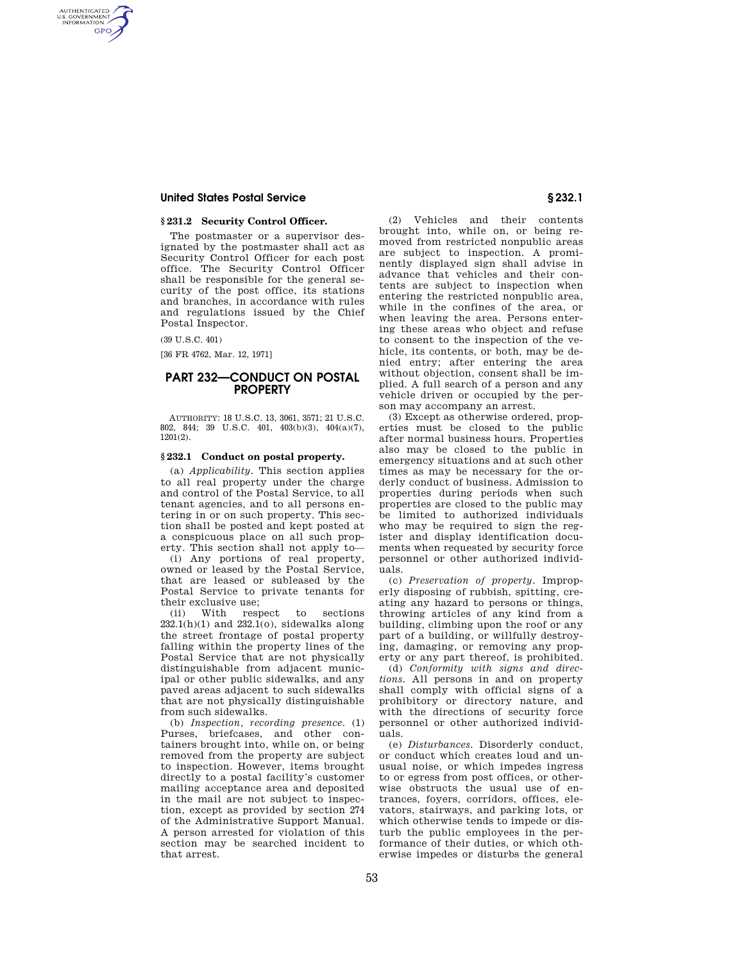### **United States Postal Service § 232.1**

#### **§ 231.2 Security Control Officer.**

The postmaster or a supervisor designated by the postmaster shall act as Security Control Officer for each post office. The Security Control Officer shall be responsible for the general security of the post office, its stations and branches, in accordance with rules and regulations issued by the Chief Postal Inspector.

(39 U.S.C. 401)

AUTHENTICATED<br>U.S. GOVERNMENT<br>INFORMATION **GPO** 

[36 FR 4762, Mar. 12, 1971]

# **PART 232—CONDUCT ON POSTAL PROPERTY**

AUTHORITY: 18 U.S.C. 13, 3061, 3571; 21 U.S.C. 802, 844; 39 U.S.C. 401, 403(b)(3), 404(a)(7),  $1201(2)$ .

#### **§ 232.1 Conduct on postal property.**

(a) *Applicability.* This section applies to all real property under the charge and control of the Postal Service, to all tenant agencies, and to all persons entering in or on such property. This section shall be posted and kept posted at a conspicuous place on all such property. This section shall not apply to—

(i) Any portions of real property, owned or leased by the Postal Service, that are leased or subleased by the Postal Service to private tenants for their exclusive use;

(ii) With respect to sections  $232.1(h)(1)$  and  $232.1(o)$ , sidewalks along the street frontage of postal property falling within the property lines of the Postal Service that are not physically distinguishable from adjacent municipal or other public sidewalks, and any paved areas adjacent to such sidewalks that are not physically distinguishable from such sidewalks.

(b) *Inspection, recording presence.* (1) Purses, briefcases, and other containers brought into, while on, or being removed from the property are subject to inspection. However, items brought directly to a postal facility's customer mailing acceptance area and deposited in the mail are not subject to inspection, except as provided by section 274 of the Administrative Support Manual. A person arrested for violation of this section may be searched incident to that arrest.

(2) Vehicles and their contents brought into, while on, or being removed from restricted nonpublic areas are subject to inspection. A prominently displayed sign shall advise in advance that vehicles and their contents are subject to inspection when entering the restricted nonpublic area, while in the confines of the area, or when leaving the area. Persons entering these areas who object and refuse to consent to the inspection of the vehicle, its contents, or both, may be denied entry; after entering the area without objection, consent shall be implied. A full search of a person and any vehicle driven or occupied by the person may accompany an arrest.

(3) Except as otherwise ordered, properties must be closed to the public after normal business hours. Properties also may be closed to the public in emergency situations and at such other times as may be necessary for the orderly conduct of business. Admission to properties during periods when such properties are closed to the public may be limited to authorized individuals who may be required to sign the register and display identification documents when requested by security force personnel or other authorized individuals.

(c) *Preservation of property.* Improperly disposing of rubbish, spitting, creating any hazard to persons or things, throwing articles of any kind from a building, climbing upon the roof or any part of a building, or willfully destroying, damaging, or removing any property or any part thereof, is prohibited.

(d) *Conformity with signs and directions.* All persons in and on property shall comply with official signs of a prohibitory or directory nature, and with the directions of security force personnel or other authorized individuals.

(e) *Disturbances.* Disorderly conduct, or conduct which creates loud and unusual noise, or which impedes ingress to or egress from post offices, or otherwise obstructs the usual use of entrances, foyers, corridors, offices, elevators, stairways, and parking lots, or which otherwise tends to impede or disturb the public employees in the performance of their duties, or which otherwise impedes or disturbs the general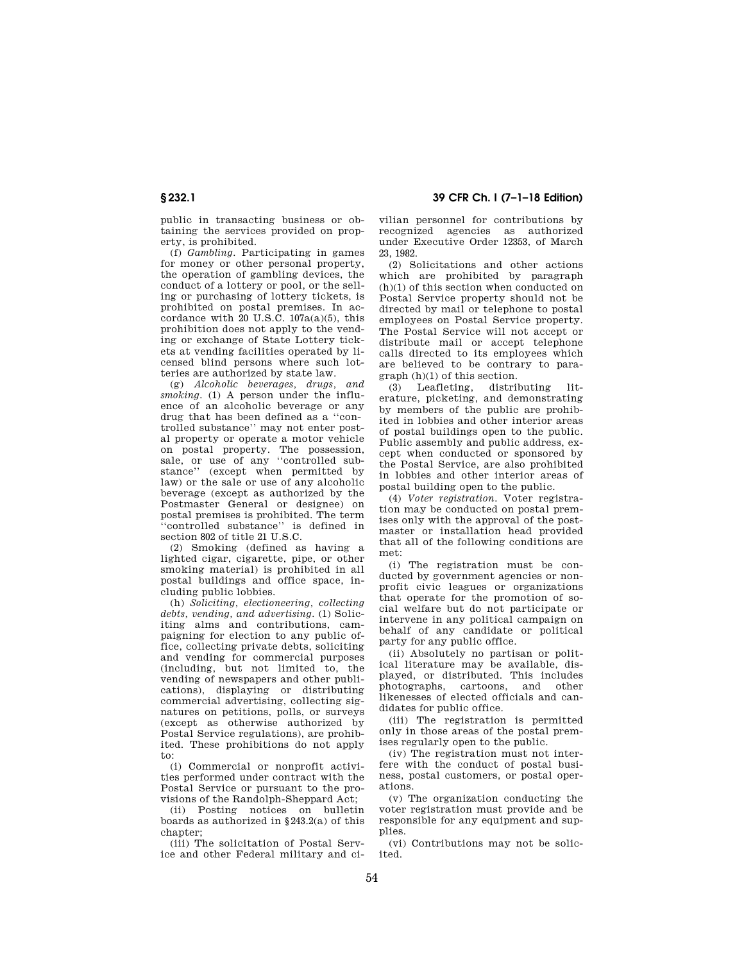public in transacting business or obtaining the services provided on property, is prohibited.

(f) *Gambling.* Participating in games for money or other personal property, the operation of gambling devices, the conduct of a lottery or pool, or the selling or purchasing of lottery tickets, is prohibited on postal premises. In accordance with  $20$  U.S.C.  $107a(a)(5)$ , this prohibition does not apply to the vending or exchange of State Lottery tickets at vending facilities operated by licensed blind persons where such lotteries are authorized by state law.

(g) *Alcoholic beverages, drugs, and smoking.* (1) A person under the influence of an alcoholic beverage or any drug that has been defined as a ''controlled substance'' may not enter postal property or operate a motor vehicle on postal property. The possession, sale, or use of any ''controlled substance'' (except when permitted by law) or the sale or use of any alcoholic beverage (except as authorized by the Postmaster General or designee) on postal premises is prohibited. The term ''controlled substance'' is defined in section 802 of title 21 U.S.C.

(2) Smoking (defined as having a lighted cigar, cigarette, pipe, or other smoking material) is prohibited in all postal buildings and office space, including public lobbies.

(h) *Soliciting, electioneering, collecting debts, vending, and advertising.* (1) Soliciting alms and contributions, campaigning for election to any public office, collecting private debts, soliciting and vending for commercial purposes (including, but not limited to, the vending of newspapers and other publications), displaying or distributing commercial advertising, collecting signatures on petitions, polls, or surveys (except as otherwise authorized by Postal Service regulations), are prohibited. These prohibitions do not apply to:

(i) Commercial or nonprofit activities performed under contract with the Postal Service or pursuant to the provisions of the Randolph-Sheppard Act;

(ii) Posting notices on bulletin boards as authorized in §243.2(a) of this chapter;

(iii) The solicitation of Postal Service and other Federal military and ci-

**§ 232.1 39 CFR Ch. I (7–1–18 Edition)** 

vilian personnel for contributions by recognized agencies as authorized under Executive Order 12353, of March 23, 1982.

(2) Solicitations and other actions which are prohibited by paragraph (h)(1) of this section when conducted on Postal Service property should not be directed by mail or telephone to postal employees on Postal Service property. The Postal Service will not accept or distribute mail or accept telephone calls directed to its employees which are believed to be contrary to paragraph (h)(1) of this section.

(3) Leafleting, distributing literature, picketing, and demonstrating by members of the public are prohibited in lobbies and other interior areas of postal buildings open to the public. Public assembly and public address, except when conducted or sponsored by the Postal Service, are also prohibited in lobbies and other interior areas of postal building open to the public.

(4) *Voter registration.* Voter registration may be conducted on postal premises only with the approval of the postmaster or installation head provided that all of the following conditions are met:

(i) The registration must be conducted by government agencies or nonprofit civic leagues or organizations that operate for the promotion of social welfare but do not participate or intervene in any political campaign on behalf of any candidate or political party for any public office.

(ii) Absolutely no partisan or political literature may be available, displayed, or distributed. This includes photographs, cartoons, and other likenesses of elected officials and candidates for public office.

(iii) The registration is permitted only in those areas of the postal premises regularly open to the public.

(iv) The registration must not interfere with the conduct of postal business, postal customers, or postal operations.

(v) The organization conducting the voter registration must provide and be responsible for any equipment and supplies.

(vi) Contributions may not be solicited.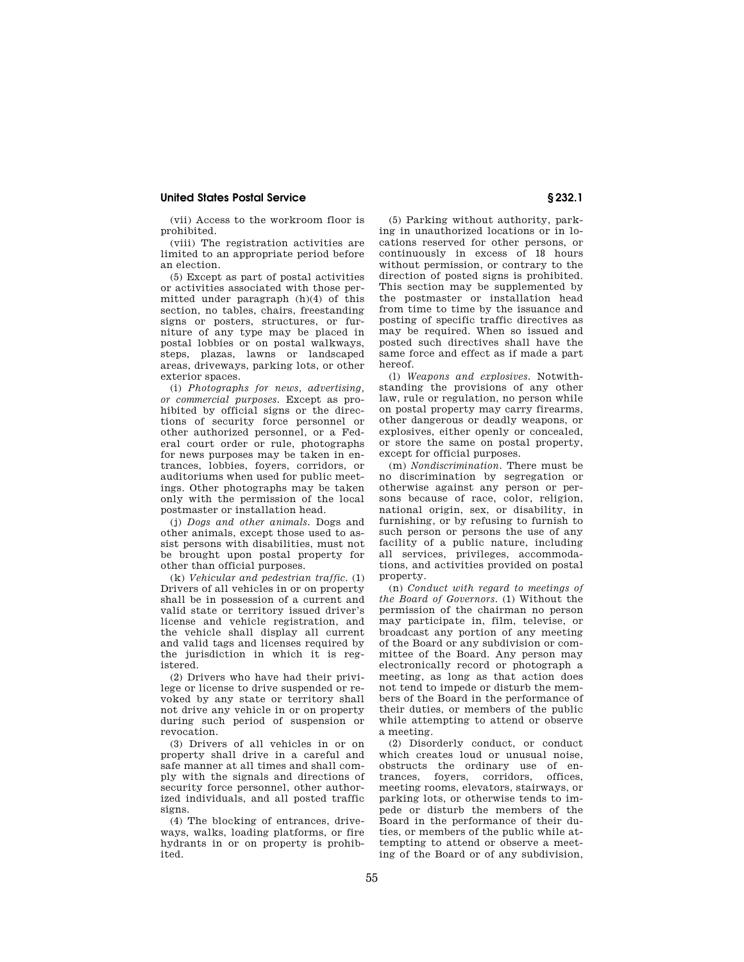### **United States Postal Service § 232.1**

(vii) Access to the workroom floor is prohibited.

(viii) The registration activities are limited to an appropriate period before an election.

(5) Except as part of postal activities or activities associated with those permitted under paragraph (h)(4) of this section, no tables, chairs, freestanding signs or posters, structures, or furniture of any type may be placed in postal lobbies or on postal walkways, steps, plazas, lawns or landscaped areas, driveways, parking lots, or other exterior spaces.

(i) *Photographs for news, advertising, or commercial purposes.* Except as prohibited by official signs or the directions of security force personnel or other authorized personnel, or a Federal court order or rule, photographs for news purposes may be taken in entrances, lobbies, foyers, corridors, or auditoriums when used for public meetings. Other photographs may be taken only with the permission of the local postmaster or installation head.

(j) *Dogs and other animals.* Dogs and other animals, except those used to assist persons with disabilities, must not be brought upon postal property for other than official purposes.

(k) *Vehicular and pedestrian traffic.* (1) Drivers of all vehicles in or on property shall be in possession of a current and valid state or territory issued driver's license and vehicle registration, and the vehicle shall display all current and valid tags and licenses required by the jurisdiction in which it is registered.

(2) Drivers who have had their privilege or license to drive suspended or revoked by any state or territory shall not drive any vehicle in or on property during such period of suspension or revocation.

(3) Drivers of all vehicles in or on property shall drive in a careful and safe manner at all times and shall comply with the signals and directions of security force personnel, other authorized individuals, and all posted traffic signs.

(4) The blocking of entrances, driveways, walks, loading platforms, or fire hydrants in or on property is prohibited.

(5) Parking without authority, parking in unauthorized locations or in locations reserved for other persons, or continuously in excess of 18 hours without permission, or contrary to the direction of posted signs is prohibited. This section may be supplemented by the postmaster or installation head from time to time by the issuance and posting of specific traffic directives as may be required. When so issued and posted such directives shall have the same force and effect as if made a part hereof.

(l) *Weapons and explosives.* Notwithstanding the provisions of any other law, rule or regulation, no person while on postal property may carry firearms, other dangerous or deadly weapons, or explosives, either openly or concealed, or store the same on postal property, except for official purposes.

(m) *Nondiscrimination.* There must be no discrimination by segregation or otherwise against any person or persons because of race, color, religion, national origin, sex, or disability, in furnishing, or by refusing to furnish to such person or persons the use of any facility of a public nature, including all services, privileges, accommodations, and activities provided on postal property.

(n) *Conduct with regard to meetings of the Board of Governors.* (1) Without the permission of the chairman no person may participate in, film, televise, or broadcast any portion of any meeting of the Board or any subdivision or committee of the Board. Any person may electronically record or photograph a meeting, as long as that action does not tend to impede or disturb the members of the Board in the performance of their duties, or members of the public while attempting to attend or observe a meeting.

(2) Disorderly conduct, or conduct which creates loud or unusual noise, obstructs the ordinary use of entrances, foyers, corridors, offices, meeting rooms, elevators, stairways, or parking lots, or otherwise tends to impede or disturb the members of the Board in the performance of their duties, or members of the public while attempting to attend or observe a meeting of the Board or of any subdivision,